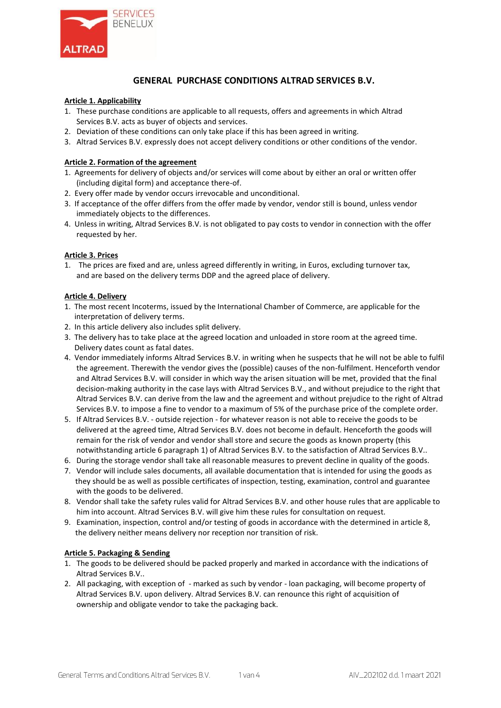

# **GENERAL PURCHASE CONDITIONS ALTRAD SERVICES B.V.**

#### **Article 1. Applicability**

- 1. These purchase conditions are applicable to all requests, offers and agreements in which Altrad Services B.V. acts as buyer of objects and services.
- 2. Deviation of these conditions can only take place if this has been agreed in writing.
- 3. Altrad Services B.V. expressly does not accept delivery conditions or other conditions of the vendor.

### **Article 2. Formation of the agreement**

- 1. Agreements for delivery of objects and/or services will come about by either an oral or written offer (including digital form) and acceptance there-of.
- 2. Every offer made by vendor occurs irrevocable and unconditional.
- 3. If acceptance of the offer differs from the offer made by vendor, vendor still is bound, unless vendor immediately objects to the differences.
- 4. Unless in writing, Altrad Services B.V. is not obligated to pay costs to vendor in connection with the offer requested by her.

#### **Article 3. Prices**

1. The prices are fixed and are, unless agreed differently in writing, in Euros, excluding turnover tax, and are based on the delivery terms DDP and the agreed place of delivery.

## **Article 4. Delivery**

- 1. The most recent Incoterms, issued by the International Chamber of Commerce, are applicable for the interpretation of delivery terms.
- 2. In this article delivery also includes split delivery.
- 3. The delivery has to take place at the agreed location and unloaded in store room at the agreed time. Delivery dates count as fatal dates.
- 4. Vendor immediately informs Altrad Services B.V. in writing when he suspects that he will not be able to fulfil the agreement. Therewith the vendor gives the (possible) causes of the non-fulfilment. Henceforth vendor and Altrad Services B.V. will consider in which way the arisen situation will be met, provided that the final decision-making authority in the case lays with Altrad Services B.V., and without prejudice to the right that Altrad Services B.V. can derive from the law and the agreement and without prejudice to the right of Altrad Services B.V. to impose a fine to vendor to a maximum of 5% of the purchase price of the complete order.
- 5. If Altrad Services B.V. outside rejection for whatever reason is not able to receive the goods to be delivered at the agreed time, Altrad Services B.V. does not become in default. Henceforth the goods will remain for the risk of vendor and vendor shall store and secure the goods as known property (this notwithstanding article 6 paragraph 1) of Altrad Services B.V. to the satisfaction of Altrad Services B.V..
- 6. During the storage vendor shall take all reasonable measures to prevent decline in quality of the goods.
- 7. Vendor will include sales documents, all available documentation that is intended for using the goods as they should be as well as possible certificates of inspection, testing, examination, control and guarantee with the goods to be delivered.
- 8. Vendor shall take the safety rules valid for Altrad Services B.V. and other house rules that are applicable to him into account. Altrad Services B.V. will give him these rules for consultation on request.
- 9. Examination, inspection, control and/or testing of goods in accordance with the determined in article 8, the delivery neither means delivery nor reception nor transition of risk.

#### **Article 5. Packaging & Sending**

- 1. The goods to be delivered should be packed properly and marked in accordance with the indications of Altrad Services B.V..
- 2. All packaging, with exception of marked as such by vendor loan packaging, will become property of Altrad Services B.V. upon delivery. Altrad Services B.V. can renounce this right of acquisition of ownership and obligate vendor to take the packaging back.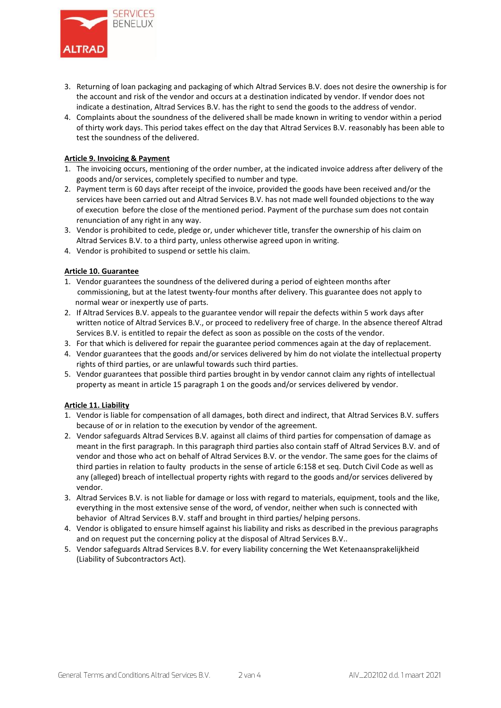

- 3. Returning of loan packaging and packaging of which Altrad Services B.V. does not desire the ownership is for the account and risk of the vendor and occurs at a destination indicated by vendor. If vendor does not indicate a destination, Altrad Services B.V. has the right to send the goods to the address of vendor.
- 4. Complaints about the soundness of the delivered shall be made known in writing to vendor within a period of thirty work days. This period takes effect on the day that Altrad Services B.V. reasonably has been able to test the soundness of the delivered.

### **Article 9. Invoicing & Payment**

- 1. The invoicing occurs, mentioning of the order number, at the indicated invoice address after delivery of the goods and/or services, completely specified to number and type.
- 2. Payment term is 60 days after receipt of the invoice, provided the goods have been received and/or the services have been carried out and Altrad Services B.V. has not made well founded objections to the way of execution before the close of the mentioned period. Payment of the purchase sum does not contain renunciation of any right in any way.
- 3. Vendor is prohibited to cede, pledge or, under whichever title, transfer the ownership of his claim on Altrad Services B.V. to a third party, unless otherwise agreed upon in writing.
- 4. Vendor is prohibited to suspend or settle his claim.

## **Article 10. Guarantee**

- 1. Vendor guarantees the soundness of the delivered during a period of eighteen months after commissioning, but at the latest twenty-four months after delivery. This guarantee does not apply to normal wear or inexpertly use of parts.
- 2. If Altrad Services B.V. appeals to the guarantee vendor will repair the defects within 5 work days after written notice of Altrad Services B.V., or proceed to redelivery free of charge. In the absence thereof Altrad Services B.V. is entitled to repair the defect as soon as possible on the costs of the vendor.
- 3. For that which is delivered for repair the guarantee period commences again at the day of replacement.
- 4. Vendor guarantees that the goods and/or services delivered by him do not violate the intellectual property rights of third parties, or are unlawful towards such third parties.
- 5. Vendor guarantees that possible third parties brought in by vendor cannot claim any rights of intellectual property as meant in article 15 paragraph 1 on the goods and/or services delivered by vendor.

#### **Article 11. Liability**

- 1. Vendor is liable for compensation of all damages, both direct and indirect, that Altrad Services B.V. suffers because of or in relation to the execution by vendor of the agreement.
- 2. Vendor safeguards Altrad Services B.V. against all claims of third parties for compensation of damage as meant in the first paragraph. In this paragraph third parties also contain staff of Altrad Services B.V. and of vendor and those who act on behalf of Altrad Services B.V. or the vendor. The same goes for the claims of third parties in relation to faulty products in the sense of article 6:158 et seq. Dutch Civil Code as well as any (alleged) breach of intellectual property rights with regard to the goods and/or services delivered by vendor.
- 3. Altrad Services B.V. is not liable for damage or loss with regard to materials, equipment, tools and the like, everything in the most extensive sense of the word, of vendor, neither when such is connected with behavior of Altrad Services B.V. staff and brought in third parties/ helping persons.
- 4. Vendor is obligated to ensure himself against his liability and risks as described in the previous paragraphs and on request put the concerning policy at the disposal of Altrad Services B.V..
- 5. Vendor safeguards Altrad Services B.V. for every liability concerning the Wet Ketenaansprakelijkheid (Liability of Subcontractors Act).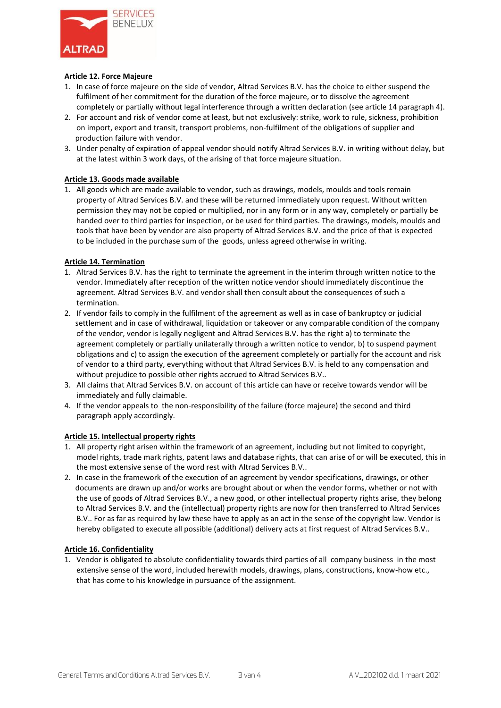

## **Article 12. Force Majeure**

- 1. In case of force majeure on the side of vendor, Altrad Services B.V. has the choice to either suspend the fulfilment of her commitment for the duration of the force majeure, or to dissolve the agreement completely or partially without legal interference through a written declaration (see article 14 paragraph 4).
- 2. For account and risk of vendor come at least, but not exclusively: strike, work to rule, sickness, prohibition on import, export and transit, transport problems, non-fulfilment of the obligations of supplier and production failure with vendor.
- 3. Under penalty of expiration of appeal vendor should notify Altrad Services B.V. in writing without delay, but at the latest within 3 work days, of the arising of that force majeure situation.

## **Article 13. Goods made available**

1. All goods which are made available to vendor, such as drawings, models, moulds and tools remain property of Altrad Services B.V. and these will be returned immediately upon request. Without written permission they may not be copied or multiplied, nor in any form or in any way, completely or partially be handed over to third parties for inspection, or be used for third parties. The drawings, models, moulds and tools that have been by vendor are also property of Altrad Services B.V. and the price of that is expected to be included in the purchase sum of the goods, unless agreed otherwise in writing.

#### **Article 14. Termination**

- 1. Altrad Services B.V. has the right to terminate the agreement in the interim through written notice to the vendor. Immediately after reception of the written notice vendor should immediately discontinue the agreement. Altrad Services B.V. and vendor shall then consult about the consequences of such a termination.
- 2. If vendor fails to comply in the fulfilment of the agreement as well as in case of bankruptcy or judicial settlement and in case of withdrawal, liquidation or takeover or any comparable condition of the company of the vendor, vendor is legally negligent and Altrad Services B.V. has the right a) to terminate the agreement completely or partially unilaterally through a written notice to vendor, b) to suspend payment obligations and c) to assign the execution of the agreement completely or partially for the account and risk of vendor to a third party, everything without that Altrad Services B.V. is held to any compensation and without prejudice to possible other rights accrued to Altrad Services B.V..
- 3. All claims that Altrad Services B.V. on account of this article can have or receive towards vendor will be immediately and fully claimable.
- 4. If the vendor appeals to the non-responsibility of the failure (force majeure) the second and third paragraph apply accordingly.

#### **Article 15. Intellectual property rights**

- 1. All property right arisen within the framework of an agreement, including but not limited to copyright, model rights, trade mark rights, patent laws and database rights, that can arise of or will be executed, this in the most extensive sense of the word rest with Altrad Services B.V..
- 2. In case in the framework of the execution of an agreement by vendor specifications, drawings, or other documents are drawn up and/or works are brought about or when the vendor forms, whether or not with the use of goods of Altrad Services B.V., a new good, or other intellectual property rights arise, they belong to Altrad Services B.V. and the (intellectual) property rights are now for then transferred to Altrad Services B.V.. For as far as required by law these have to apply as an act in the sense of the copyright law. Vendor is hereby obligated to execute all possible (additional) delivery acts at first request of Altrad Services B.V..

#### **Article 16. Confidentiality**

1. Vendor is obligated to absolute confidentiality towards third parties of all company business in the most extensive sense of the word, included herewith models, drawings, plans, constructions, know-how etc., that has come to his knowledge in pursuance of the assignment.